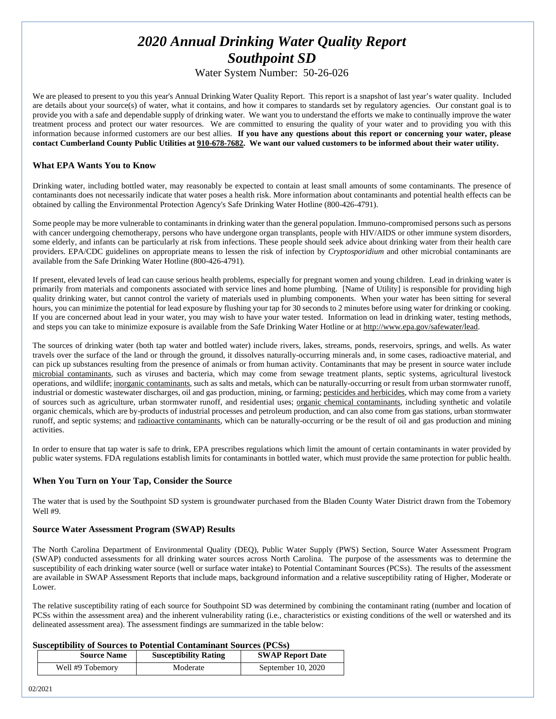# *2020 Annual Drinking Water Quality Report Southpoint SD*

# Water System Number: 50-26-026

We are pleased to present to you this year's Annual Drinking Water Quality Report. This report is a snapshot of last year's water quality. Included are details about your source(s) of water, what it contains, and how it compares to standards set by regulatory agencies. Our constant goal is to provide you with a safe and dependable supply of drinking water. We want you to understand the efforts we make to continually improve the water treatment process and protect our water resources. We are committed to ensuring the quality of your water and to providing you with this information because informed customers are our best allies. **If you have any questions about this report or concerning your water, please contact Cumberland County Public Utilities at 910-678-7682. We want our valued customers to be informed about their water utility.** 

#### **What EPA Wants You to Know**

Drinking water, including bottled water, may reasonably be expected to contain at least small amounts of some contaminants. The presence of contaminants does not necessarily indicate that water poses a health risk. More information about contaminants and potential health effects can be obtained by calling the Environmental Protection Agency's Safe Drinking Water Hotline (800-426-4791).

Some people may be more vulnerable to contaminants in drinking water than the general population. Immuno-compromised persons such as persons with cancer undergoing chemotherapy, persons who have undergone organ transplants, people with HIV/AIDS or other immune system disorders, some elderly, and infants can be particularly at risk from infections. These people should seek advice about drinking water from their health care providers. EPA/CDC guidelines on appropriate means to lessen the risk of infection by *Cryptosporidium* and other microbial contaminants are available from the Safe Drinking Water Hotline (800-426-4791).

If present, elevated levels of lead can cause serious health problems, especially for pregnant women and young children. Lead in drinking water is primarily from materials and components associated with service lines and home plumbing. [Name of Utility] is responsible for providing high quality drinking water, but cannot control the variety of materials used in plumbing components. When your water has been sitting for several hours, you can minimize the potential for lead exposure by flushing your tap for 30 seconds to 2 minutes before using water for drinking or cooking. If you are concerned about lead in your water, you may wish to have your water tested. Information on lead in drinking water, testing methods, and steps you can take to minimize exposure is available from the Safe Drinking Water Hotline or a[t http://www.epa.gov/safewater/lead.](http://www.epa.gov/safewater/lead) 

The sources of drinking water (both tap water and bottled water) include rivers, lakes, streams, ponds, reservoirs, springs, and wells. As water travels over the surface of the land or through the ground, it dissolves naturally-occurring minerals and, in some cases, radioactive material, and can pick up substances resulting from the presence of animals or from human activity. Contaminants that may be present in source water include microbial contaminants, such as viruses and bacteria, which may come from sewage treatment plants, septic systems, agricultural livestock operations, and wildlife; inorganic contaminants, such as salts and metals, which can be naturally-occurring or result from urban stormwater runoff, industrial or domestic wastewater discharges, oil and gas production, mining, or farming; pesticides and herbicides, which may come from a variety of sources such as agriculture, urban stormwater runoff, and residential uses; organic chemical contaminants, including synthetic and volatile organic chemicals, which are by-products of industrial processes and petroleum production, and can also come from gas stations, urban stormwater runoff, and septic systems; and radioactive contaminants, which can be naturally-occurring or be the result of oil and gas production and mining activities.

In order to ensure that tap water is safe to drink, EPA prescribes regulations which limit the amount of certain contaminants in water provided by public water systems. FDA regulations establish limits for contaminants in bottled water, which must provide the same protection for public health.

#### **When You Turn on Your Tap, Consider the Source**

The water that is used by the Southpoint SD system is groundwater purchased from the Bladen County Water District drawn from the Tobemory Well #9.

#### **Source Water Assessment Program (SWAP) Results**

The North Carolina Department of Environmental Quality (DEQ), Public Water Supply (PWS) Section, Source Water Assessment Program (SWAP) conducted assessments for all drinking water sources across North Carolina. The purpose of the assessments was to determine the susceptibility of each drinking water source (well or surface water intake) to Potential Contaminant Sources (PCSs). The results of the assessment are available in SWAP Assessment Reports that include maps, background information and a relative susceptibility rating of Higher, Moderate or Lower.

The relative susceptibility rating of each source for Southpoint SD was determined by combining the contaminant rating (number and location of PCSs within the assessment area) and the inherent vulnerability rating (i.e., characteristics or existing conditions of the well or watershed and its delineated assessment area). The assessment findings are summarized in the table below:

#### **Susceptibility of Sources to Potential Contaminant Sources (PCSs)**

| <b>Source Name</b> | <b>Susceptibility Rating</b> | <b>SWAP Report Date</b> |
|--------------------|------------------------------|-------------------------|
| Well #9 Tobemory   | Moderate                     | September 10, 2020      |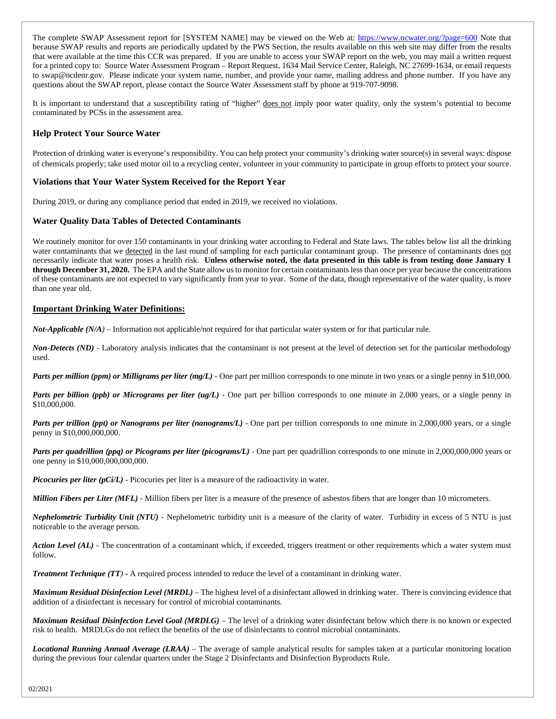The complete SWAP Assessment report for [SYSTEM NAME] may be viewed on the Web at:<https://www.ncwater.org/?page=600> Note that because SWAP results and reports are periodically updated by the PWS Section, the results available on this web site may differ from the results that were available at the time this CCR was prepared. If you are unable to access your SWAP report on the web, you may mail a written request for a printed copy to: Source Water Assessment Program – Report Request, 1634 Mail Service Center, Raleigh, NC 27699-1634, or email requests to swap@ncdenr.gov. Please indicate your system name, number, and provide your name, mailing address and phone number. If you have any questions about the SWAP report, please contact the Source Water Assessment staff by phone at 919-707-9098.

It is important to understand that a susceptibility rating of "higher" does not imply poor water quality, only the system's potential to become contaminated by PCSs in the assessment area.

#### **Help Protect Your Source Water**

Protection of drinking water is everyone's responsibility. You can help protect your community's drinking water source(s) in several ways: dispose of chemicals properly; take used motor oil to a recycling center, volunteer in your community to participate in group efforts to protect your source.

#### **Violations that Your Water System Received for the Report Year**

During 2019, or during any compliance period that ended in 2019, we received no violations.

#### **Water Quality Data Tables of Detected Contaminants**

We routinely monitor for over 150 contaminants in your drinking water according to Federal and State laws. The tables below list all the drinking water contaminants that we detected in the last round of sampling for each particular contaminant group. The presence of contaminants does not necessarily indicate that water poses a health risk. **Unless otherwise noted, the data presented in this table is from testing done January 1 through December 31, 2020.** The EPA and the State allow us to monitor for certain contaminants less than once per year because the concentrations of these contaminants are not expected to vary significantly from year to year. Some of the data, though representative of the water quality, is more than one year old.

#### **Important Drinking Water Definitions:**

*Not-Applicable (N/A)* – Information not applicable/not required for that particular water system or for that particular rule.

*Non-Detects (ND)* - Laboratory analysis indicates that the contaminant is not present at the level of detection set for the particular methodology used.

*Parts per million (ppm) or Milligrams per liter (mg/L)* - One part per million corresponds to one minute in two years or a single penny in \$10,000.

*Parts per billion (ppb) or Micrograms per liter (ug/L)* - One part per billion corresponds to one minute in 2,000 years, or a single penny in \$10,000,000.

*Parts per trillion (ppt) or Nanograms per liter (nanograms/L)* - One part per trillion corresponds to one minute in 2,000,000 years, or a single penny in \$10,000,000,000.

*Parts per quadrillion (ppq) or Picograms per liter (picograms/L)* - One part per quadrillion corresponds to one minute in 2,000,000,000 years or one penny in \$10,000,000,000,000.

*Picocuries per liter (pCi/L)* - Picocuries per liter is a measure of the radioactivity in water.

*Million Fibers per Liter (MFL)* - Million fibers per liter is a measure of the presence of asbestos fibers that are longer than 10 micrometers.

*Nephelometric Turbidity Unit (NTU)* - Nephelometric turbidity unit is a measure of the clarity of water. Turbidity in excess of 5 NTU is just noticeable to the average person.

*Action Level* (AL) - The concentration of a contaminant which, if exceeded, triggers treatment or other requirements which a water system must follow.

*Treatment Technique (TT)* **-** A required process intended to reduce the level of a contaminant in drinking water.

*Maximum Residual Disinfection Level (MRDL)* – The highest level of a disinfectant allowed in drinking water. There is convincing evidence that addition of a disinfectant is necessary for control of microbial contaminants.

*Maximum Residual Disinfection Level Goal (MRDLG)* – The level of a drinking water disinfectant below which there is no known or expected risk to health. MRDLGs do not reflect the benefits of the use of disinfectants to control microbial contaminants.

*Locational Running Annual Average (LRAA)* – The average of sample analytical results for samples taken at a particular monitoring location during the previous four calendar quarters under the Stage 2 Disinfectants and Disinfection Byproducts Rule.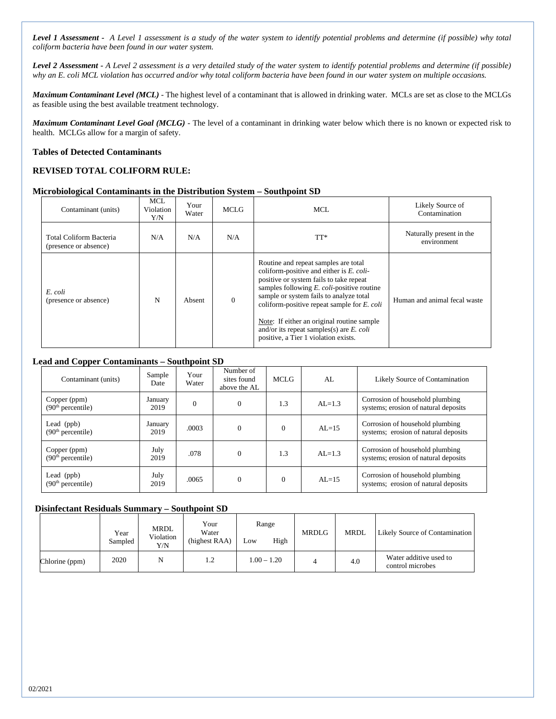*Level 1 Assessment - A Level 1 assessment is a study of the water system to identify potential problems and determine (if possible) why total coliform bacteria have been found in our water system.*

*Level 2 Assessment - A Level 2 assessment is a very detailed study of the water system to identify potential problems and determine (if possible) why an E. coli MCL violation has occurred and/or why total coliform bacteria have been found in our water system on multiple occasions.*

*Maximum Contaminant Level (MCL)* - The highest level of a contaminant that is allowed in drinking water. MCLs are set as close to the MCLGs as feasible using the best available treatment technology.

*Maximum Contaminant Level Goal (MCLG)* - The level of a contaminant in drinking water below which there is no known or expected risk to health. MCLGs allow for a margin of safety.

#### **Tables of Detected Contaminants**

#### **REVISED TOTAL COLIFORM RULE:**

#### **Microbiological Contaminants in the Distribution System – Southpoint SD**

| Contaminant (units)                              | <b>MCL</b><br>Violation<br>Y/N | Your<br>Water | MCLG     | MCL                                                                                                                                                                                                                                                                                                                                                                                                                    | Likely Source of<br>Contamination       |
|--------------------------------------------------|--------------------------------|---------------|----------|------------------------------------------------------------------------------------------------------------------------------------------------------------------------------------------------------------------------------------------------------------------------------------------------------------------------------------------------------------------------------------------------------------------------|-----------------------------------------|
| Total Coliform Bacteria<br>(presence or absence) | N/A                            | N/A           | N/A      | TT*                                                                                                                                                                                                                                                                                                                                                                                                                    | Naturally present in the<br>environment |
| E. coli<br>(presence or absence)                 | N                              | Absent        | $\theta$ | Routine and repeat samples are total<br>coliform-positive and either is $E$ . coli-<br>positive or system fails to take repeat<br>samples following $E$ . <i>coli</i> -positive routine<br>sample or system fails to analyze total<br>coliform-positive repeat sample for E. coli<br>Note: If either an original routine sample<br>and/or its repeat samples(s) are $E$ . coli<br>positive, a Tier 1 violation exists. | Human and animal fecal waste            |

#### **Lead and Copper Contaminants – Southpoint SD**

| Contaminant (units)                           | Sample<br>Date              | Your<br>Water | Number of<br>sites found<br>above the AL | <b>MCLG</b> | AL         | Likely Source of Contamination                                          |
|-----------------------------------------------|-----------------------------|---------------|------------------------------------------|-------------|------------|-------------------------------------------------------------------------|
| Copper (ppm)<br>(90 <sup>th</sup> percentile) | January<br>$\theta$<br>2019 |               | $\Omega$                                 | 1.3         | $AL=1.3$   | Corrosion of household plumbing<br>systems; erosion of natural deposits |
| Lead (ppb)<br>(90 <sup>th</sup> percentile)   | January<br>2019             | .0003         | $\Omega$                                 | $\Omega$    | $AL=15$    | Corrosion of household plumbing<br>systems; erosion of natural deposits |
| Copper (ppm)<br>(90 <sup>th</sup> percentile) | July<br>2019                | .078          | $\Omega$                                 | 1.3         | $AI = 1.3$ | Corrosion of household plumbing<br>systems; erosion of natural deposits |
| Lead $(ppb)$<br>(90 <sup>th</sup> percentile) | July<br>2019                | .0065         | $\Omega$                                 | $\Omega$    | $AL=15$    | Corrosion of household plumbing<br>systems; erosion of natural deposits |

#### **Disinfectant Residuals Summary – Southpoint SD**

|                | Year<br>Sampled | MRDL<br>Violation<br>Y/N | Your<br>Water<br>(highest RAA) | Range<br>High<br>LOW | <b>MRDLG</b> | <b>MRDL</b> | Likely Source of Contamination             |
|----------------|-----------------|--------------------------|--------------------------------|----------------------|--------------|-------------|--------------------------------------------|
| Chlorine (ppm) | 2020            | N                        | 1.2                            | $1.00 - 1.20$        |              | 4.0         | Water additive used to<br>control microbes |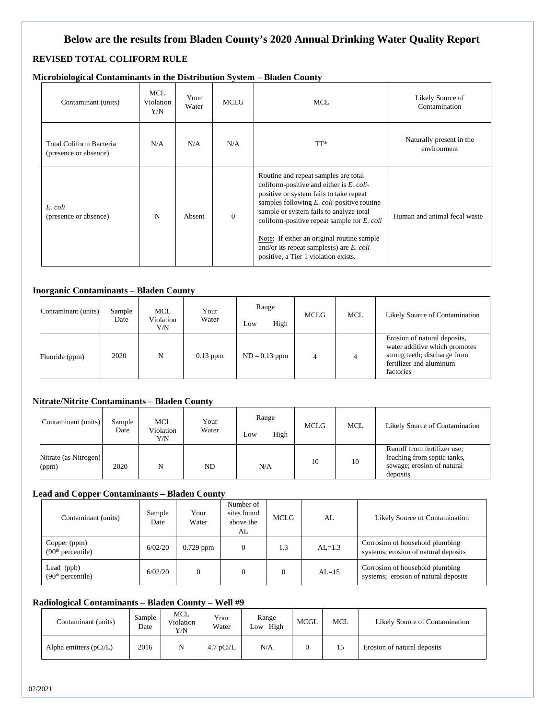# **Below are the results from Bladen County's 2020 Annual Drinking Water Quality Report**

# **REVISED TOTAL COLIFORM RULE**

|  |  | Microbiological Contaminants in the Distribution System - Bladen County |  |  |
|--|--|-------------------------------------------------------------------------|--|--|
|--|--|-------------------------------------------------------------------------|--|--|

| Contaminant (units)                              | MCL<br>Violation<br>Y/N | Your<br>Water | <b>MCLG</b> | MCL.                                                                                                                                                                                                                                                                                                                                                                                                        | Likely Source of<br>Contamination       |
|--------------------------------------------------|-------------------------|---------------|-------------|-------------------------------------------------------------------------------------------------------------------------------------------------------------------------------------------------------------------------------------------------------------------------------------------------------------------------------------------------------------------------------------------------------------|-----------------------------------------|
| Total Coliform Bacteria<br>(presence or absence) | N/A                     | N/A           | N/A         | TT*                                                                                                                                                                                                                                                                                                                                                                                                         | Naturally present in the<br>environment |
| E. coli<br>(presence or absence)                 | N                       | Absent        | $\Omega$    | Routine and repeat samples are total<br>coliform-positive and either is E. coli-<br>positive or system fails to take repeat<br>samples following E. coli-positive routine<br>sample or system fails to analyze total<br>coliform-positive repeat sample for $E$ . coli<br>Note: If either an original routine sample<br>and/or its repeat samples(s) are $E$ . coli<br>positive, a Tier 1 violation exists. | Human and animal fecal waste            |

#### **Inorganic Contaminants – Bladen County**

| Contaminant (units) | Sample<br>Date | MCL<br>Violation<br>Y/N | Your<br>Water | Range<br>High<br>Low | <b>MCLG</b> | <b>MCL</b> | Likely Source of Contamination                                                                                                        |
|---------------------|----------------|-------------------------|---------------|----------------------|-------------|------------|---------------------------------------------------------------------------------------------------------------------------------------|
| Fluoride (ppm)      | 2020           | N                       | $0.13$ ppm    | $ND - 0.13$ ppm      |             |            | Erosion of natural deposits,<br>water additive which promotes<br>strong teeth; discharge from<br>fertilizer and aluminum<br>factories |

# **Nitrate/Nitrite Contaminants – Bladen County**

| Contaminant (units)            | Sample<br>Date | MCL<br>Violation<br>Y/N | Your<br>Water | Range<br>High<br>Low | <b>MCLG</b> | <b>MCL</b> | Likely Source of Contamination                                                                       |
|--------------------------------|----------------|-------------------------|---------------|----------------------|-------------|------------|------------------------------------------------------------------------------------------------------|
| Nitrate (as Nitrogen)<br>(ppm) | 2020           | N                       | ND            | N/A                  | 10          | 10         | Runoff from fertilizer use;<br>leaching from septic tanks,<br>sewage; erosion of natural<br>deposits |

# **Lead and Copper Contaminants – Bladen County**

| Contaminant (units)                           | Sample<br>Date | Your<br>Water | Number of<br>sites found<br>above the<br>AL | MCLG | AL         | Likely Source of Contamination                                          |
|-----------------------------------------------|----------------|---------------|---------------------------------------------|------|------------|-------------------------------------------------------------------------|
| Copper (ppm)<br>(90 <sup>th</sup> percentile) | 6/02/20        | $0.729$ ppm   | $\mathbf{0}$                                | 1.3  | $AI = 1.3$ | Corrosion of household plumbing<br>systems; erosion of natural deposits |
| Lead (ppb)<br>(90 <sup>th</sup> percentile)   | 6/02/20        |               | $\overline{0}$                              |      | $AL=15$    | Corrosion of household plumbing<br>systems; erosion of natural deposits |

# **Radiological Contaminants – Bladen County – Well #9**

| Contaminant (units)      | Sample<br>Date | MCL<br>Violation<br>Y/N | Your<br>Water | Range<br>High<br>LOW | <b>MCGL</b> | <b>MCL</b> | Likely Source of Contamination |
|--------------------------|----------------|-------------------------|---------------|----------------------|-------------|------------|--------------------------------|
| Alpha emitters $(pCi/L)$ | 2016           |                         | $4.7$ pCi/L   | N/A                  |             |            | Erosion of natural deposits    |